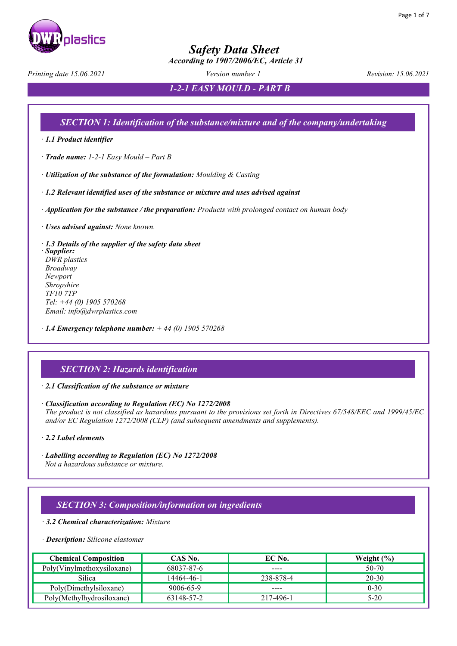

 *According to 1907/2006/EC, Article 31*

*Printing date 15.06.2021 Version number 1 Revision: 15.06.2021*

*1-2-1 EASY MOULD - PART B*

### *SECTION 1: Identification of the substance/mixture and of the company/undertaking*

· *1.1 Product identifier* 

· *Trade name: 1-2-1 Easy Mould – Part B*

· *Utilization of the substance of the formulation: Moulding & Casting*

· *1.2 Relevant identified uses of the substance or mixture and uses advised against* 

· *Application for the substance / the preparation: Products with prolonged contact on human body*

· *Uses advised against: None known.*

· *1.3 Details of the supplier of the safety data sheet*  · *Supplier: DWR plastics Broadway Newport Shropshire TF10 7TP Tel: +44 (0) 1905 570268 Email: info@dwrplastics.com*

· *1.4 Emergency telephone number: + 44 (0) 1905 570268*

### *SECTION 2: Hazards identification*

· *2.1 Classification of the substance or mixture* 

· *Classification according to Regulation (EC) No 1272/2008 The product is not classified as hazardous pursuant to the provisions set forth in Directives 67/548/EEC and 1999/45/EC and/or EC Regulation 1272/2008 (CLP) (and subsequent amendments and supplements).*

· *2.2 Label elements* 

· *Labelling according to Regulation (EC) No 1272/2008 Not a hazardous substance or mixture.*

### *SECTION 3: Composition/information on ingredients*

· *3.2 Chemical characterization: Mixture*

#### · *Description: Silicone elastomer*

| <b>Chemical Composition</b> | CAS No.    | EC No.    | Weight $(\% )$ |
|-----------------------------|------------|-----------|----------------|
| Poly(Vinylmethoxysiloxane)  | 68037-87-6 | $- - - -$ | 50-70          |
| Silica                      | 14464-46-1 | 238-878-4 | $20 - 30$      |
| Poly(Dimethylsiloxane)      | 9006-65-9  | ----      | $0 - 30$       |
| Poly(Methylhydrosiloxane)   | 63148-57-2 | 217-496-1 | $5-20$         |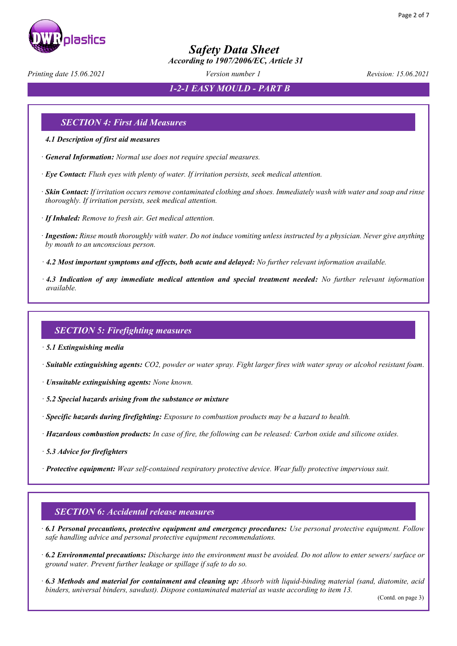

 *According to 1907/2006/EC, Article 31*

*Printing date 15.06.2021 Version number 1 Revision: 15.06.2021*

*1-2-1 EASY MOULD - PART B*

### *SECTION 4: First Aid Measures*

- *4.1 Description of first aid measures*
- · *General Information: Normal use does not require special measures.*
- · *Eye Contact: Flush eyes with plenty of water. If irritation persists, seek medical attention.*
- · *Skin Contact: If irritation occurs remove contaminated clothing and shoes. Immediately wash with water and soap and rinse thoroughly. If irritation persists, seek medical attention.*
- · *If Inhaled: Remove to fresh air. Get medical attention.*
- · *Ingestion: Rinse mouth thoroughly with water. Do not induce vomiting unless instructed by a physician. Never give anything by mouth to an unconscious person.*
- · *4.2 Most important symptoms and effects, both acute and delayed: No further relevant information available.*
- · *4.3 Indication of any immediate medical attention and special treatment needed: No further relevant information available.*

### *SECTION 5: Firefighting measures*

- · *5.1 Extinguishing media*
- · *Suitable extinguishing agents: CO2, powder or water spray. Fight larger fires with water spray or alcohol resistant foam.*
- · *Unsuitable extinguishing agents: None known.*
- · *5.2 Special hazards arising from the substance or mixture*
- · *Specific hazards during firefighting: Exposure to combustion products may be a hazard to health.*
- · *Hazardous combustion products: In case of fire, the following can be released: Carbon oxide and silicone oxides.*
- · *5.3 Advice for firefighters*
- · *Protective equipment: Wear self-contained respiratory protective device. Wear fully protective impervious suit.*

### *SECTION 6: Accidental release measures*

- · *6.1 Personal precautions, protective equipment and emergency procedures: Use personal protective equipment. Follow safe handling advice and personal protective equipment recommendations.*
- · *6.2 Environmental precautions: Discharge into the environment must be avoided. Do not allow to enter sewers/ surface or ground water. Prevent further leakage or spillage if safe to do so.*
- · *6.3 Methods and material for containment and cleaning up: Absorb with liquid-binding material (sand, diatomite, acid binders, universal binders, sawdust). Dispose contaminated material as waste according to item 13.*

(Contd. on page 3)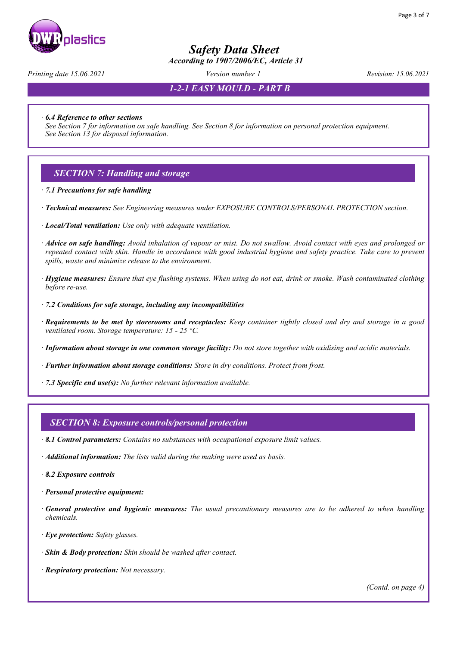

 *According to 1907/2006/EC, Article 31*

*Printing date 15.06.2021 Version number 1 Revision: 15.06.2021*

*1-2-1 EASY MOULD - PART B*

· *6.4 Reference to other sections* 

*See Section 7 for information on safe handling. See Section 8 for information on personal protection equipment. See Section 13 for disposal information.* 

### *SECTION 7: Handling and storage*

· *7.1 Precautions for safe handling*

- · *Technical measures: See Engineering measures under EXPOSURE CONTROLS/PERSONAL PROTECTION section.*
- · *Local/Total ventilation: Use only with adequate ventilation.*
- · *Advice on safe handling: Avoid inhalation of vapour or mist. Do not swallow. Avoid contact with eyes and prolonged or repeated contact with skin. Handle in accordance with good industrial hygiene and safety practice. Take care to prevent spills, waste and minimize release to the environment.*
- · *Hygiene measures: Ensure that eye flushing systems. When using do not eat, drink or smoke. Wash contaminated clothing before re-use.*
- · *7.2 Conditions for safe storage, including any incompatibilities*
- · *Requirements to be met by storerooms and receptacles: Keep container tightly closed and dry and storage in a good ventilated room. Storage temperature: 15 - 25 °C.*
- · *Information about storage in one common storage facility: Do not store together with oxidising and acidic materials.*
- · *Further information about storage conditions: Store in dry conditions. Protect from frost.*
- · *7.3 Specific end use(s): No further relevant information available.*

#### *SECTION 8: Exposure controls/personal protection*

- · *8.1 Control parameters: Contains no substances with occupational exposure limit values.*
- · *Additional information: The lists valid during the making were used as basis.*
- · *8.2 Exposure controls*
- · *Personal protective equipment:*
- · *General protective and hygienic measures: The usual precautionary measures are to be adhered to when handling chemicals.*
- · *Eye protection: Safety glasses.*
- · *Skin & Body protection: Skin should be washed after contact.*
- · *Respiratory protection: Not necessary.*

*(Contd. on page 4)*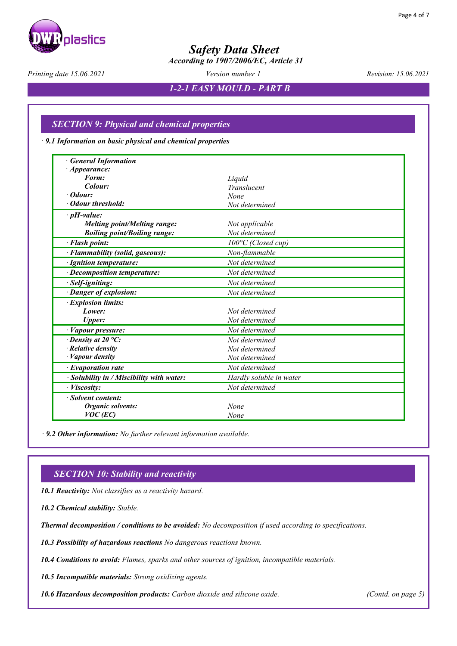

 *According to 1907/2006/EC, Article 31*

*Printing date 15.06.2021 Version number 1 Revision: 15.06.2021*

*1-2-1 EASY MOULD - PART B*

### *SECTION 9: Physical and chemical properties*

· *9.1 Information on basic physical and chemical properties*

| <b>General Information</b>              |                              |
|-----------------------------------------|------------------------------|
| · <i>Appearance</i> :                   |                              |
| Form:                                   | Liquid                       |
| Colour:                                 | Translucent                  |
| $\cdot$ Odour:                          | None                         |
| • Odour threshold:                      | Not determined               |
| $\cdot$ pH-value:                       |                              |
| <b>Melting point/Melting range:</b>     | Not applicable               |
| <b>Boiling point/Boiling range:</b>     | Not determined               |
| · Flash point:                          | $100^{\circ}$ C (Closed cup) |
| · Flammability (solid, gaseous):        | Non-flammable                |
| · Ignition temperature:                 | Not determined               |
| $\cdot$ Decomposition temperature:      | Not determined               |
| Self-igniting:                          | Not determined               |
| · Danger of explosion:                  | Not determined               |
| · Explosion limits:                     |                              |
| Lower:                                  | Not determined               |
| Upper:                                  | Not determined               |
| · Vapour pressure:                      | Not determined               |
| $\cdot$ Density at 20 °C:               | Not determined               |
| Relative density                        | Not determined               |
| Vapour density                          | Not determined               |
| $\cdot$ Evaporation rate                | Not determined               |
| Solubility in / Miscibility with water: | Hardly soluble in water      |
| · Viscosity:                            | Not determined               |
| · Solvent content:                      |                              |
| Organic solvents:                       | None                         |
| $VOC$ (EC)                              | None                         |

 *· 9.2 Other information: No further relevant information available.*

### *SECTION 10: Stability and reactivity*

· *10.1 Reactivity: Not classifies as a reactivity hazard.*

· *10.2 Chemical stability: Stable.*

· *Thermal decomposition / conditions to be avoided: No decomposition if used according to specifications.*

· *10.3 Possibility of hazardous reactions No dangerous reactions known.*

· *10.4 Conditions to avoid: Flames, sparks and other sources of ignition, incompatible materials.*

· *10.5 Incompatible materials: Strong oxidizing agents.*

· *10.6 Hazardous decomposition products: Carbon dioxide and silicone oxide. (Contd. on page 5)*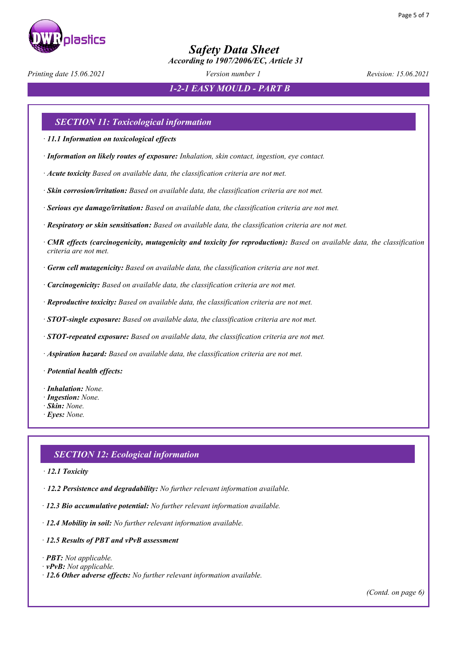

 *According to 1907/2006/EC, Article 31*

*Printing date 15.06.2021 Version number 1 Revision: 15.06.2021*

*1-2-1 EASY MOULD - PART B*

### *SECTION 11: Toxicological information*

· *11.1 Information on toxicological effects*

- · *Information on likely routes of exposure: Inhalation, skin contact, ingestion, eye contact.*
- · *Acute toxicity Based on available data, the classification criteria are not met.*
- · *Skin corrosion/irritation: Based on available data, the classification criteria are not met.*
- · *Serious eye damage/irritation: Based on available data, the classification criteria are not met.*
- · *Respiratory or skin sensitisation: Based on available data, the classification criteria are not met.*
- · *CMR effects (carcinogenicity, mutagenicity and toxicity for reproduction): Based on available data, the classification criteria are not met.*
- · *Germ cell mutagenicity: Based on available data, the classification criteria are not met.*
- · *Carcinogenicity: Based on available data, the classification criteria are not met.*
- · *Reproductive toxicity: Based on available data, the classification criteria are not met.*
- · *STOT-single exposure: Based on available data, the classification criteria are not met.*
- · *STOT-repeated exposure: Based on available data, the classification criteria are not met.*
- · *Aspiration hazard: Based on available data, the classification criteria are not met.*
- · *Potential health effects:*
- · *Inhalation: None.*
- · *Ingestion: None.*
- · *Skin: None.*
- · *Eyes: None.*

### *SECTION 12: Ecological information*

- · *12.1 Toxicity*
- · *12.2 Persistence and degradability: No further relevant information available.*
- · *12.3 Bio accumulative potential: No further relevant information available.*
- · *12.4 Mobility in soil: No further relevant information available.*
- · *12.5 Results of PBT and vPvB assessment*
- · *PBT: Not applicable.*
- · *vPvB: Not applicable.*
- · *12.6 Other adverse effects: No further relevant information available.*

*(Contd. on page 6)*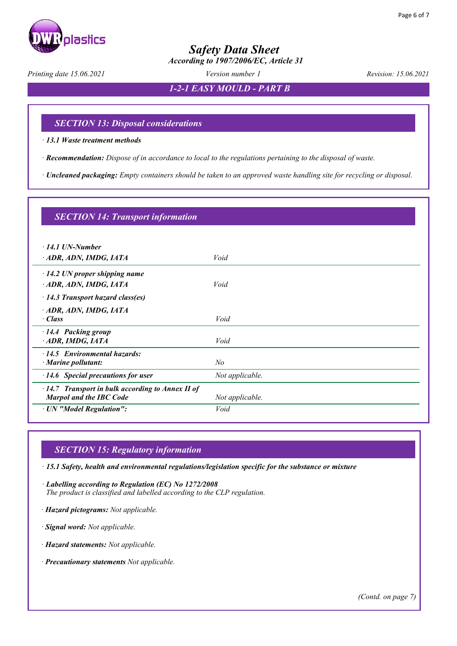

 *According to 1907/2006/EC, Article 31*

*Printing date 15.06.2021 Version number 1 Revision: 15.06.2021*

*1-2-1 EASY MOULD - PART B*

### *SECTION 13: Disposal considerations*

· *13.1 Waste treatment methods* 

· *Recommendation: Dispose of in accordance to local to the regulations pertaining to the disposal of waste.* 

· *Uncleaned packaging: Empty containers should be taken to an approved waste handling site for recycling or disposal.*

| <b>SECTION 14: Transport information</b>                                                  |                 |  |  |  |
|-------------------------------------------------------------------------------------------|-----------------|--|--|--|
| $\cdot$ 14.1 UN-Number<br>ADR, ADN, IMDG, IATA                                            | Void            |  |  |  |
| $\cdot$ 14.2 UN proper shipping name                                                      | Void            |  |  |  |
| ADR, ADN, IMDG, IATA<br>$\cdot$ 14.3 Transport hazard class(es)                           |                 |  |  |  |
| · ADR, ADN, IMDG, IATA<br>$\cdot$ Class                                                   | Void            |  |  |  |
| 14.4 Packing group<br>$-$ ADR, IMDG, IATA                                                 | Void            |  |  |  |
| $\cdot$ 14.5 Environmental hazards:<br>$\cdot$ Marine pollutant:                          | N <sub>o</sub>  |  |  |  |
| $\cdot$ 14.6 Special precautions for user                                                 | Not applicable. |  |  |  |
| $\cdot$ 14.7 Transport in bulk according to Annex II of<br><b>Marpol and the IBC Code</b> | Not applicable. |  |  |  |
| · UN "Model Regulation":                                                                  | Void            |  |  |  |

### *SECTION 15: Regulatory information*

· *15.1 Safety, health and environmental regulations/legislation specific for the substance or mixture* 

· *Labelling according to Regulation (EC) No 1272/2008 The product is classified and labelled according to the CLP regulation.* 

· *Hazard pictograms: Not applicable.* 

· *Signal word: Not applicable.*

· *Hazard statements: Not applicable.*

· *Precautionary statements Not applicable.*

*(Contd. on page 7)*